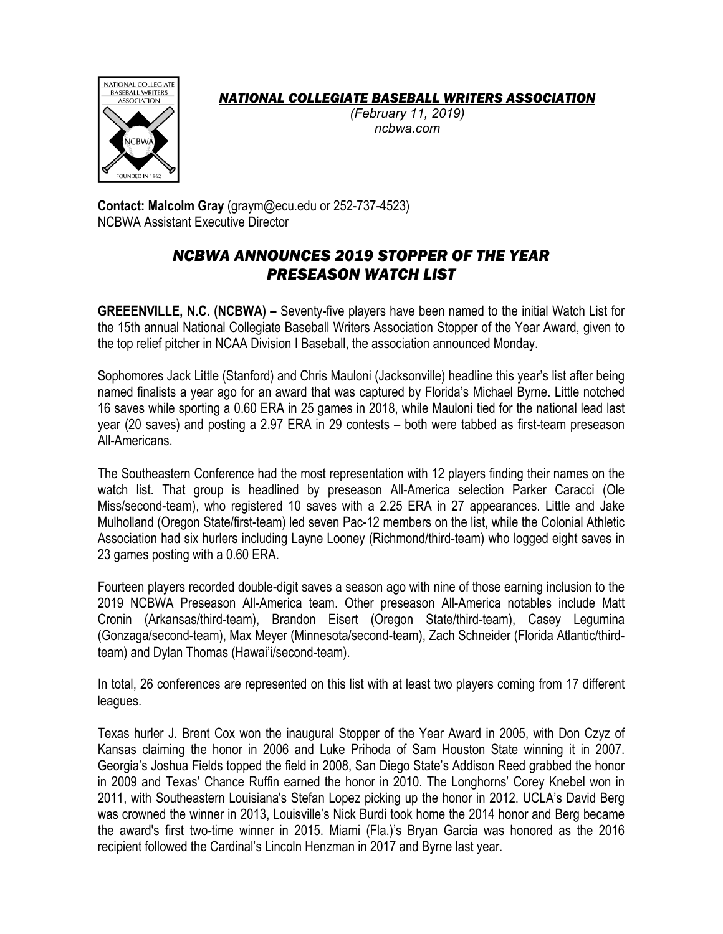*NATIONAL COLLEGIATE BASEBALL WRITERS ASSOCIATION*



*(February 11, 2019) ncbwa.com*

**Contact: Malcolm Gray** (graym@ecu.edu or 252-737-4523) NCBWA Assistant Executive Director

## *NCBWA ANNOUNCES 2019 STOPPER OF THE YEAR PRESEASON WATCH LIST*

**GREEENVILLE, N.C. (NCBWA) –** Seventy-five players have been named to the initial Watch List for the 15th annual National Collegiate Baseball Writers Association Stopper of the Year Award, given to the top relief pitcher in NCAA Division I Baseball, the association announced Monday.

Sophomores Jack Little (Stanford) and Chris Mauloni (Jacksonville) headline this year's list after being named finalists a year ago for an award that was captured by Florida's Michael Byrne. Little notched 16 saves while sporting a 0.60 ERA in 25 games in 2018, while Mauloni tied for the national lead last year (20 saves) and posting a 2.97 ERA in 29 contests – both were tabbed as first-team preseason All-Americans.

The Southeastern Conference had the most representation with 12 players finding their names on the watch list. That group is headlined by preseason All-America selection Parker Caracci (Ole Miss/second-team), who registered 10 saves with a 2.25 ERA in 27 appearances. Little and Jake Mulholland (Oregon State/first-team) led seven Pac-12 members on the list, while the Colonial Athletic Association had six hurlers including Layne Looney (Richmond/third-team) who logged eight saves in 23 games posting with a 0.60 ERA.

Fourteen players recorded double-digit saves a season ago with nine of those earning inclusion to the 2019 NCBWA Preseason All-America team. Other preseason All-America notables include Matt Cronin (Arkansas/third-team), Brandon Eisert (Oregon State/third-team), Casey Legumina (Gonzaga/second-team), Max Meyer (Minnesota/second-team), Zach Schneider (Florida Atlantic/thirdteam) and Dylan Thomas (Hawai'i/second-team).

In total, 26 conferences are represented on this list with at least two players coming from 17 different leagues.

Texas hurler J. Brent Cox won the inaugural Stopper of the Year Award in 2005, with Don Czyz of Kansas claiming the honor in 2006 and Luke Prihoda of Sam Houston State winning it in 2007. Georgia's Joshua Fields topped the field in 2008, San Diego State's Addison Reed grabbed the honor in 2009 and Texas' Chance Ruffin earned the honor in 2010. The Longhorns' Corey Knebel won in 2011, with Southeastern Louisiana's Stefan Lopez picking up the honor in 2012. UCLA's David Berg was crowned the winner in 2013, Louisville's Nick Burdi took home the 2014 honor and Berg became the award's first two-time winner in 2015. Miami (Fla.)'s Bryan Garcia was honored as the 2016 recipient followed the Cardinal's Lincoln Henzman in 2017 and Byrne last year.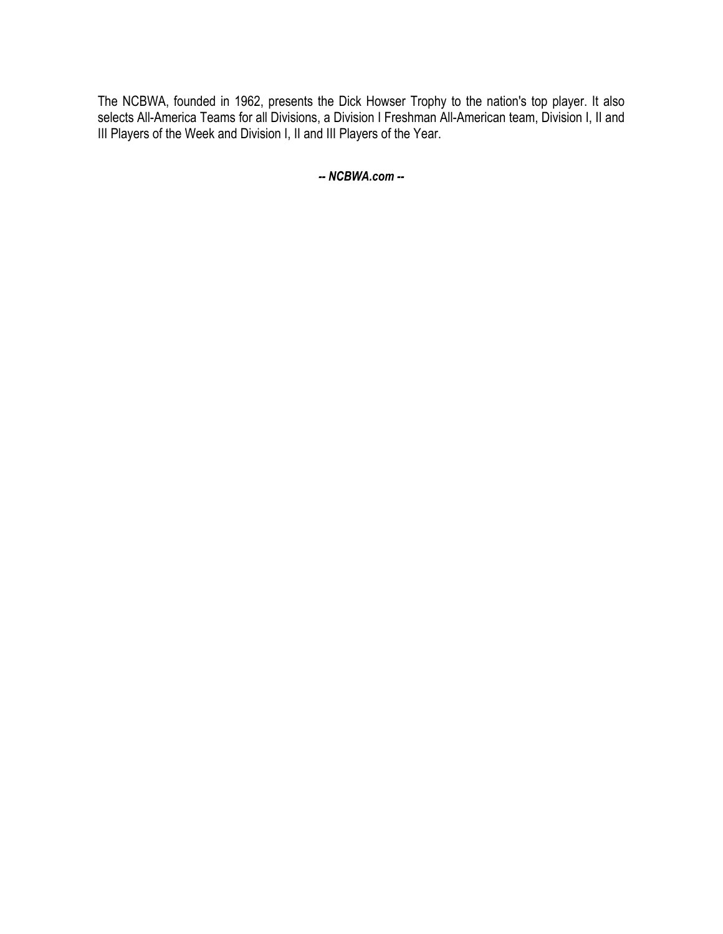The NCBWA, founded in 1962, presents the Dick Howser Trophy to the nation's top player. It also selects All-America Teams for all Divisions, a Division I Freshman All-American team, Division I, II and III Players of the Week and Division I, II and III Players of the Year.

*-- NCBWA.com --*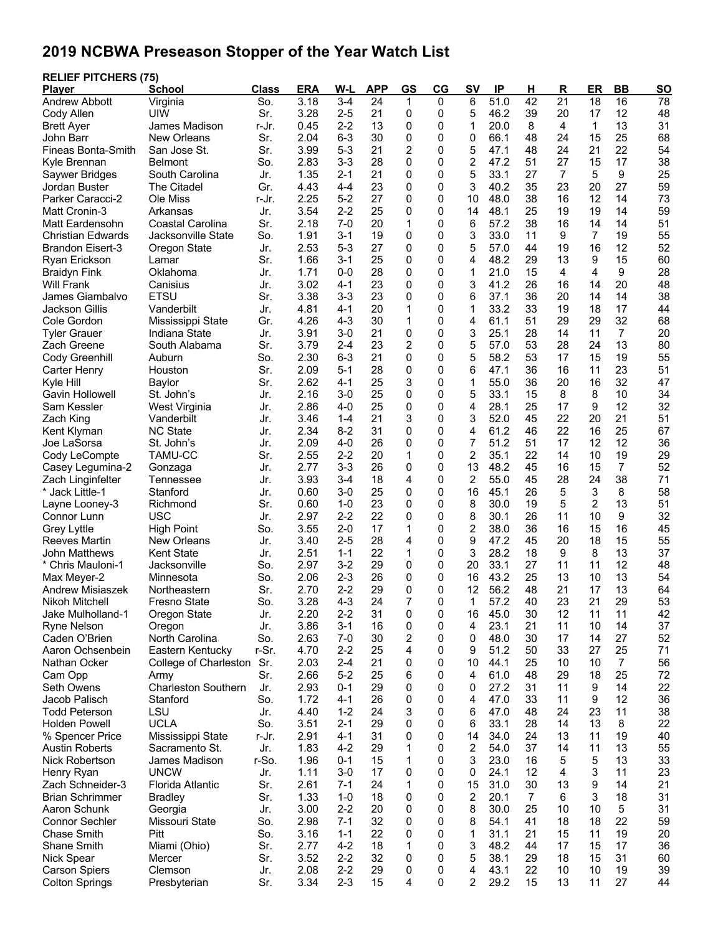## **2019 NCBWA Preseason Stopper of the Year Watch List**

| <b>RELIEF PITCHERS (75)</b><br>Plaver  | <b>School</b>                | <b>Class</b> | <b>ERA</b>   | W-L                | <b>APP</b>      | <b>GS</b>      | CG           | <b>SV</b>      | IP               | <u>н</u>        | $\overline{\mathsf{R}}$ | ER              | <b>BB</b>       | <b>SO</b>       |
|----------------------------------------|------------------------------|--------------|--------------|--------------------|-----------------|----------------|--------------|----------------|------------------|-----------------|-------------------------|-----------------|-----------------|-----------------|
| <b>Andrew Abbott</b>                   | Virginia                     | So.          | 3.18         | $3-4$              | $\overline{24}$ | 1              | $\mathbf 0$  | 6              | $\frac{1}{51.0}$ | $\overline{42}$ | $\overline{21}$         | $\overline{18}$ | $\overline{16}$ | $\overline{78}$ |
| Cody Allen                             | UIW                          | Sr.          | 3.28         | $2 - 5$            | 21              | 0              | 0            | 5              | 46.2             | 39              | 20                      | 17              | 12              | 48              |
| <b>Brett Ayer</b>                      | James Madison                | r-Jr.        | 0.45         | $2 - 2$            | 13              | 0              | 0            | 1              | 20.0             | 8               | 4                       | 1               | 13              | 31              |
| John Barr                              | New Orleans                  | Sr.          | 2.04         | $6 - 3$            | 30              | 0              | 0            | 0              | 66.1             | 48              | 24                      | 15              | 25              | 68              |
| Fineas Bonta-Smith                     | San Jose St.                 | Sr.          | 3.99         | $5 - 3$            | 21              | $\overline{c}$ | 0            | 5              | 47.1             | 48              | 24                      | 21              | 22              | 54              |
| Kyle Brennan                           | Belmont                      | So.          | 2.83         | $3 - 3$            | 28              | 0              | 0            | $\overline{2}$ | 47.2             | 51              | 27                      | 15              | 17              | 38              |
| Saywer Bridges                         | South Carolina               | Jr.          | 1.35         | $2 - 1$            | 21              | 0              | 0            | 5              | 33.1             | 27              | 7                       | 5               | 9               | 25              |
| Jordan Buster                          | <b>The Citadel</b>           | Gr.          | 4.43         | 4-4                | 23              | 0              | 0            | 3              | 40.2             | 35              | 23                      | 20              | 27              | 59              |
| Parker Caracci-2                       | Ole Miss                     | r-Jr.        | 2.25         | $5-2$              | 27              | 0              | 0            | 10             | 48.0             | 38              | 16                      | 12              | 14              | 73              |
| Matt Cronin-3                          | Arkansas                     | Jr.          | 3.54         | $2 - 2$            | 25              | 0              | 0            | 14             | 48.1             | 25              | 19                      | 19              | 14              | 59              |
| Matt Eardensohn                        | Coastal Carolina             | Sr.          | 2.18         | $7-0$              | 20              | 1              | 0            | 6              | 57.2             | 38              | 16                      | 14              | 14              | 51              |
| <b>Christian Edwards</b>               | Jacksonville State           | So.          | 1.91         | $3 - 1$            | 19              | 0              | 0            | 3              | 33.0             | 11              | 9                       | $\overline{7}$  | 19              | 55              |
| <b>Brandon Eisert-3</b>                | Oregon State                 | Jr.          | 2.53         | $5 - 3$            | 27              | 0              | 0            | 5              | 57.0             | 44              | 19                      | 16              | 12              | 52              |
| Ryan Erickson                          | Lamar                        | Sr.          | 1.66         | $3 - 1$            | 25              | 0              | 0            | 4              | 48.2             | 29              | 13                      | 9               | 15              | 60              |
| <b>Braidyn Fink</b>                    | Oklahoma                     | Jr.          | 1.71         | $0-0$              | 28              | 0              | 0            | 1              | 21.0             | 15              | 4                       | 4               | 9               | 28              |
| <b>Will Frank</b>                      | Canisius                     | Jr.          | 3.02         | $4 - 1$            | 23              | 0              | 0            | 3              | 41.2             | 26              | 16                      | 14              | 20              | 48              |
| James Giambalvo                        | <b>ETSU</b>                  | Sr.          | 3.38         | $3 - 3$            | 23              | 0              | 0            | 6              | 37.1             | 36              | 20                      | 14              | 14              | 38              |
| Jackson Gillis                         | Vanderbilt                   | Jr.          | 4.81         | $4 - 1$            | 20              | 1              | 0            | 1              | 33.2             | 33              | 19                      | 18              | 17              | 44              |
| Cole Gordon                            | Mississippi State            | Gr.          | 4.26         | $4 - 3$            | 30              | 1              | 0            | 4              | 61.1             | 51              | 29                      | 29              | 32              | 68              |
| <b>Tyler Grauer</b>                    | Indiana State                | Jr.          | 3.91         | $3-0$              | 21              | 0              | 0            | 3              | 25.1             | 28              | 14                      | 11              | $\overline{7}$  | 20              |
| Zach Greene                            | South Alabama                | Sr.          | 3.79         | $2 - 4$            | 23              | $\overline{c}$ | 0            | 5              | 57.0             | 53              | 28                      | 24              | 13              | 80              |
| Cody Greenhill                         | Auburn                       | So.          | 2.30         | $6-3$              | 21              | 0              | 0            | 5              | 58.2             | 53              | 17                      | 15              | 19              | 55              |
| Carter Henry                           | Houston                      | Sr.          | 2.09         | $5 - 1$            | 28              | 0              | 0            | 6              | 47.1             | 36              | 16                      | 11              | 23              | 51              |
| Kyle Hill                              | Baylor                       | Sr.          | 2.62         | $4 - 1$            | 25              | 3              | 0            | 1              | 55.0             | 36              | 20                      | 16              | 32              | 47              |
| Gavin Hollowell                        | St. John's                   | Jr.          | 2.16         | $3-0$              | 25              | 0              | 0            | 5              | 33.1             | 15              | 8                       | 8               | 10              | 34              |
| Sam Kessler                            | West Virginia                | Jr.          | 2.86         | $4 - 0$            | 25              | 0              | 0            | 4              | 28.1             | 25              | 17                      | 9               | 12              | 32              |
| Zach King                              | Vanderbilt                   | Jr.          | 3.46         | $1 - 4$            | 21              | 3              | 0            | 3              | 52.0             | 45              | 22                      | 20              | 21              | 51              |
| Kent Klyman                            | <b>NC State</b>              | Jr.          | 2.34<br>2.09 | $8 - 2$<br>$4 - 0$ | 31<br>26        | 0<br>0         | 0<br>0       | 4<br>7         | 61.2             | 46<br>51        | 22<br>17                | 16              | 25<br>12        | 67<br>36        |
| Joe LaSorsa                            | St. John's<br><b>TAMU-CC</b> | Jr.<br>Sr.   | 2.55         | $2 - 2$            | 20              | 1              | 0            | 2              | 51.2<br>35.1     | 22              | 14                      | 12<br>10        | 19              | 29              |
| Cody LeCompte<br>Casey Legumina-2      |                              | Jr.          | 2.77         | $3 - 3$            | 26              | 0              | 0            | 13             | 48.2             | 45              | 16                      | 15              | $\overline{7}$  | 52              |
| Zach Linginfelter                      | Gonzaga<br>Tennessee         | Jr.          | 3.93         | $3 - 4$            | 18              | 4              | 0            | $\overline{2}$ | 55.0             | 45              | 28                      | 24              | 38              | 71              |
| * Jack Little-1                        | Stanford                     | Jr.          | 0.60         | $3-0$              | 25              | 0              | 0            | 16             | 45.1             | 26              | 5                       | 3               | 8               | 58              |
| Layne Looney-3                         | Richmond                     | Sr.          | 0.60         | $1 - 0$            | 23              | 0              | 0            | 8              | 30.0             | 19              | 5                       | $\overline{c}$  | 13              | 51              |
| Connor Lunn                            | <b>USC</b>                   | Jr.          | 2.97         | $2 - 2$            | 22              | 0              | 0            | 8              | 30.1             | 26              | 11                      | 10              | 9               | 32              |
| <b>Grey Lyttle</b>                     | High Point                   | So.          | 3.55         | $2 - 0$            | 17              | 1              | 0            | $\overline{c}$ | 38.0             | 36              | 16                      | 15              | 16              | 45              |
| <b>Reeves Martin</b>                   | New Orleans                  | Jr.          | 3.40         | $2 - 5$            | 28              | 4              | 0            | 9              | 47.2             | 45              | 20                      | 18              | 15              | 55              |
| <b>John Matthews</b>                   | <b>Kent State</b>            | Jr.          | 2.51         | $1 - 1$            | 22              | 1              | 0            | 3              | 28.2             | 18              | 9                       | 8               | 13              | 37              |
| * Chris Mauloni-1                      | Jacksonville                 | So.          | 2.97         | $3-2$              | 29              | 0              | 0            | 20             | 33.1             | 27              | 11                      | 11              | 12              | 48              |
| Max Meyer-2                            | Minnesota                    | So.          | 2.06         | $2 - 3$            | 26              | 0              | 0            | 16             | 43.2             | 25              | 13                      | 10              | 13              | 54              |
| Andrew Misiaszek                       | Northeastern                 | Sr.          | 2.70         | $2 - 2$            | 29              | $\mathbf{0}$   | $\mathbf{0}$ | 12             | 56.2             | 48              | 21                      | 17              | 13              | 64              |
| Nikoh Mitchell                         | <b>Fresno State</b>          | So.          | 3.28         | $4 - 3$            | 24              | 7              | 0            | 1              | 57.2             | 40              | 23                      | 21              | 29              | 53              |
| Jake Mulholland-1                      | Oregon State                 | Jr.          | 2.20         | $2 - 2$            | 31              | 0              | 0            | 16             | 45.0             | 30              | 12                      | 11              | 11              | 42              |
| <b>Ryne Nelson</b>                     | Oregon                       | Jr.          | 3.86         | $3 - 1$            | 16              | 0              | 0            | 4              | 23.1             | 21              | 11                      | 10              | 14              | 37              |
| Caden O'Brien                          | North Carolina               | So.          | 2.63         | $7-0$              | 30              | $\overline{c}$ | 0            | 0              | 48.0             | 30              | 17                      | 14              | 27              | 52              |
| Aaron Ochsenbein                       | Eastern Kentucky             | r-Sr.        | 4.70         | $2 - 2$            | 25              | 4              | 0            | 9              | 51.2             | 50              | 33                      | 27              | 25              | 71              |
| Nathan Ocker                           | College of Charleston        | Sr.          | 2.03         | $2 - 4$            | 21              | 0              | 0            | 10             | 44.1             | 25              | 10                      | 10              | $\overline{7}$  | 56              |
| Cam Opp                                | Army                         | Sr.          | 2.66         | $5-2$              | 25              | 6              | 0            | 4              | 61.0             | 48              | 29                      | 18              | 25              | 72              |
| Seth Owens                             | <b>Charleston Southern</b>   | Jr.          | 2.93         | $0 - 1$            | 29              | 0              | 0            | 0              | 27.2             | 31              | 11                      | 9               | 14              | 22              |
| Jacob Palisch                          | Stanford                     | So.          | 1.72         | $4 - 1$            | 26              | 0              | 0            | 4              | 47.0             | 33              | 11                      | 9               | 12              | 36              |
| <b>Todd Peterson</b>                   | LSU                          | Jr.          | 4.40         | $1 - 2$            | 24              | 3              | 0            | 6              | 47.0             | 48              | 24                      | 23              | 11              | 38              |
| <b>Holden Powell</b>                   | <b>UCLA</b>                  | So.          | 3.51         | $2 - 1$            | 29              | 0              | 0            | 6              | 33.1             | 28              | 14                      | 13              | 8               | 22              |
| % Spencer Price                        | Mississippi State            | r-Jr.        | 2.91         | $4 - 1$            | 31              | 0              | 0            | 14             | 34.0             | 24              | 13                      | 11              | 19              | 40              |
| <b>Austin Roberts</b>                  | Sacramento St.               | Jr.          | 1.83         | $4 - 2$            | 29              | 1              | 0            | 2              | 54.0             | 37              | 14                      | 11              | 13              | 55              |
| Nick Robertson                         | James Madison<br><b>UNCW</b> | r-So.        | 1.96         | $0 - 1$<br>$3-0$   | 15<br>17        | 1              | 0            | 3              | 23.0<br>24.1     | 16<br>12        | 5                       | 5<br>3          | 13<br>11        | 33<br>23        |
| Henry Ryan                             |                              | Jr.<br>Sr.   | 1.11         | $7 - 1$            |                 | 0              | 0<br>0       | 0              |                  |                 | 4                       | 9               |                 | 21              |
| Zach Schneider-3                       | Florida Atlantic             | Sr.          | 2.61         |                    | 24              | 1<br>0         | 0            | 15             | 31.0<br>20.1     | 30              | 13                      |                 | 14              | 31              |
| <b>Brian Schrimmer</b><br>Aaron Schunk | <b>Bradley</b>               | Jr.          | 1.33<br>3.00 | $1 - 0$<br>$2 - 2$ | 18<br>20        | 0              | 0            | 2<br>8         | 30.0             | 7<br>25         | 6<br>10                 | 3<br>10         | 18<br>5         | 31              |
| <b>Connor Sechler</b>                  | Georgia<br>Missouri State    | So.          | 2.98         | $7 - 1$            | 32              | 0              | 0            | 8              | 54.1             | 41              | 18                      | 18              | 22              | 59              |
| <b>Chase Smith</b>                     | Pitt                         | So.          | 3.16         | $1 - 1$            | 22              | 0              | 0            | 1              | 31.1             | 21              | 15                      | 11              | 19              | 20              |
| Shane Smith                            | Miami (Ohio)                 | Sr.          | 2.77         | $4 - 2$            | 18              | 1              | 0            | 3              | 48.2             | 44              | 17                      | 15              | 17              | 36              |
| Nick Spear                             | Mercer                       | Sr.          | 3.52         | $2-2$              | 32              | 0              | 0            | 5              | 38.1             | 29              | 18                      | 15              | 31              | 60              |
| <b>Carson Spiers</b>                   | Clemson                      | Jr.          | 2.08         | $2 - 2$            | 29              | 0              | 0            | 4              | 43.1             | 22              | 10                      | 10              | 19              | 39              |
| <b>Colton Springs</b>                  | Presbyterian                 | Sr.          | 3.34         | $2 - 3$            | 15              | 4              | 0            | 2              | 29.2             | 15              | 13                      | 11              | 27              | 44              |
|                                        |                              |              |              |                    |                 |                |              |                |                  |                 |                         |                 |                 |                 |